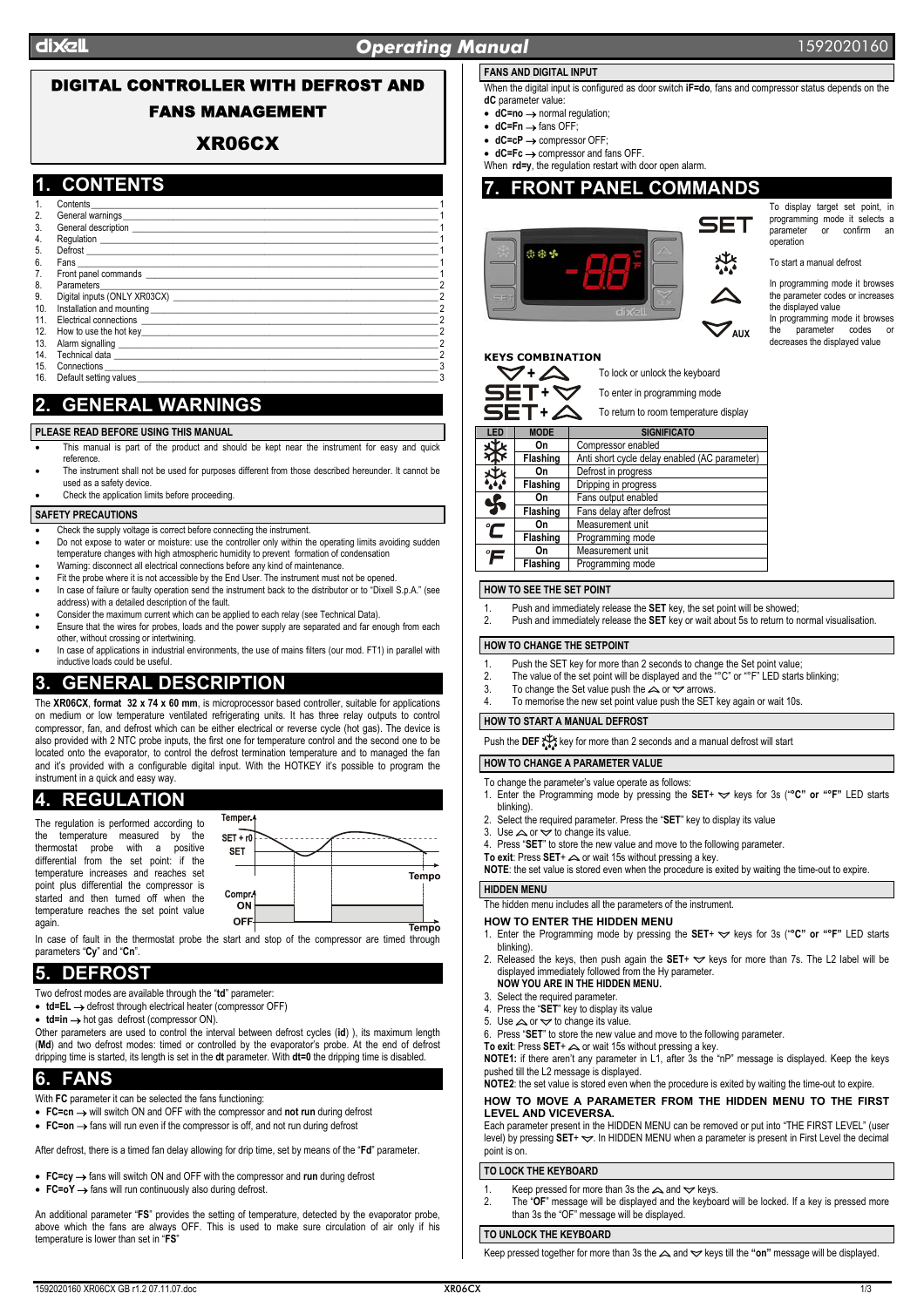### dix<sup>el</sup> dixel **Operating Manual** *Operating* Manual 1592020160

# DIGITAL CONTROLLER WITH DEFROST AND FANS MANAGEMENT

## XR06CX

## **1. CONTENTS**

| 1.  | Contents                       |  |
|-----|--------------------------------|--|
| 2.  |                                |  |
| 3.  |                                |  |
| 4.  |                                |  |
| 5.  |                                |  |
| 6.  |                                |  |
| 7.  |                                |  |
| 8.  | Parameters                     |  |
| 9.  |                                |  |
| 10. |                                |  |
| 11. |                                |  |
| 12. |                                |  |
| 13. |                                |  |
| 14. |                                |  |
| 15. | Connections <b>Connections</b> |  |
|     | 16. Default setting values     |  |

# **2. GENERAL WARNINGS**

**PLEASE READ BEFORE USING THIS MANUAL** 

- This manual is part of the product and should be kept near the instrument for easy and quick reference.
- The instrument shall not be used for purposes different from those described hereunder. It cannot be used as a safety device
- Check the application limits before proceeding.

#### **SAFETY PRECAUTIONS**

- Check the supply voltage is correct before connecting the instrument.
- Do not expose to water or moisture: use the controller only within the operating limits avoiding sudden
- temperature changes with high atmospheric humidity to prevent formation of condensation
- Warning: disconnect all electrical connections before any kind of maintenance
- Fit the probe where it is not accessible by the End User. The instrument must not be opened. • In case of failure or faulty operation send the instrument back to the distributor or to "Dixell S.p.A." (see address) with a detailed description of the fault.
- Consider the maximum current which can be applied to each relay (see Technical Data).
- Ensure that the wires for probes, loads and the power supply are separated and far enough from each other, without crossing or intertwining. • In case of applications in industrial environments, the use of mains filters (our mod. FT1) in parallel with
- inductive loads could be useful.

# **3. GENERAL DESCRIPTION**

The **XR06CX**, **format 32 x 74 x 60 mm**, is microprocessor based controller, suitable for applications on medium or low temperature ventilated refrigerating units. It has three relay outputs to control compressor, fan, and defrost which can be either electrical or reverse cycle (hot gas). The device is also provided with 2 NTC probe inputs, the first one for temperature control and the second one to be located onto the evaporator, to control the defrost termination temperature and to managed the fan and it's provided with a configurable digital input. With the HOTKEY it's possible to program the instrument in a quick and easy way.

# **4. REGULATION**

The regulation is performed according to the temperature measured by the thermostat probe with a positive differential from the set point: if the temperature increases and reaches set point plus differential the compressor is started and then turned off when the temperature reaches the set point value again.

| Temper 4           |          |               |         |                          |
|--------------------|----------|---------------|---------|--------------------------|
| $SET + r0$         |          |               |         |                          |
| <b>SET</b>         |          |               |         |                          |
|                    |          |               |         | Tempo                    |
| Compr <sup>*</sup> |          |               |         |                          |
| ON                 |          |               |         |                          |
| OFF<br>$\cdots$    | ٠<br>. . | $\sim$ $\sim$ | $\cdot$ | <b>Tempo</b><br>$\cdots$ |

In case of fault in the thermostat probe the start and stop of the compressor are timed through parameters "**Cy**" and "**Cn**".

# **5. DEFROST**

- Two defrost modes are available through the "**td**" parameter:
- **td=EL** → defrost through electrical heater (compressor OFF)

• **td=in** → hot gas defrost (compressor ON).

Other parameters are used to control the interval between defrost cycles (**id**) ), its maximum length (**Md**) and two defrost modes: timed or controlled by the evaporator's probe. At the end of defrost dripping time is started, its length is set in the **dt** parameter. With **dt=0** the dripping time is disabled.

# **6. FANS**

- With **FC** parameter it can be selected the fans functioning:
- **FC=cn** → will switch ON and OFF with the compressor and **not run** during defrost
- **FC=on** → fans will run even if the compressor is off, and not run during defrost

After defrost, there is a timed fan delay allowing for drip time, set by means of the "**Fd**" parameter.

• **FC=cy** → fans will switch ON and OFF with the compressor and **run** during defrost

• **FC=oY** → fans will run continuously also during defrost.

An additional parameter "**FS**" provides the setting of temperature, detected by the evaporator probe, above which the fans are always OFF. This is used to make sure circulation of air only if his temperature is lower than set in "**FS**"

#### **FANS AND DIGITAL INPUT**

When the digital input is configured as door switch **iF=do**, fans and compressor status depends on the **dC** parameter value:

- **dC=no** → normal regulation;
- **dC=Fn** → fans OFF;
- **dC=cP** → compressor OFF;
- **dC=Fc** → compressor and fans OFF.

When **rd=y**, the regulation restart with door open alarm. **7. FRONT PANEL COMMANDS** 



To display target set point, in programming mode it selects a<br>parameter or confirm an parameter operation

To start a manual defrost

In programming mode it browses the parameter codes or increases the displayed value

In programming mode it browses<br>the parameter codes or parameter codes decreases the displayed value

### **KEYS COMBINATION**



| $+\triangle$ | To return to room temperature display |
|--------------|---------------------------------------|

| LED          | <b>MODE</b> | <b>SIGNIFICATO</b>                            |  |
|--------------|-------------|-----------------------------------------------|--|
| 珱            | On          | Compressor enabled                            |  |
| 办            | Flashing    | Anti short cycle delay enabled (AC parameter) |  |
| 茶            | On          | Defrost in progress                           |  |
|              | Flashing    | Dripping in progress                          |  |
|              | On          | Fans output enabled                           |  |
| ӄ            | Flashing    | Fans delay after defrost                      |  |
| $\mathbf C$  | On          | Measurement unit                              |  |
|              | Flashing    | Programming mode                              |  |
| $\tilde{}$ F | On          | Measurement unit                              |  |
|              | Flashing    | Programming mode                              |  |

#### **HOW TO SEE THE SET POINT**

- 1. Push and immediately release the **SET** key, the set point will be showed;
- 2. Push and immediately release the **SET** key or wait about 5s to return to normal visualisation.

#### **HOW TO CHANGE THE SETPOINT**

- 1. Push the SET key for more than 2 seconds to change the Set point value;
- 2. The value of the set point will be displayed and the "°C" or "°F" LED starts blinking;
- 3. To change the Set value push the  $\triangle$  or  $\triangle$  arrows.
- To memorise the new set point value push the SET key again or wait 10s.

### **HOW TO START A MANUAL DEFROST**

Push the **DEF**  $\sum_{k=1}^{+\infty}$  key for more than 2 seconds and a manual defrost will start

### **HOW TO CHANGE A PARAMETER VALUE**

- To change the parameter's value operate as follows:
- 1. Enter the Programming mode by pressing the SET+  $\blacktriangledown$  keys for 3s ("°C" or "°F" LED starts blinking).
- 2. Select the required parameter. Press the "**SET**" key to display its value
- 3. Use  $\triangle$  or  $\triangle$  to change its value.<br>4. Press "SET" to store the new value.
- Press "SET" to store the new value and move to the following parameter.
- To exit: Press SET+  $\triangle$  or wait 15s without pressing a key.
- **NOTE**: the set value is stored even when the procedure is exited by waiting the time-out to expire.

#### **HIDDEN MENU**

The hidden menu includes all the parameters of the instrument.

- **HOW TO ENTER THE HIDDEN MENU**  1. Enter the Programming mode by pressing the SET+  $\blacktriangledown$  keys for 3s ("°C" or "°F" LED starts
- blinking).
- 2. Released the keys, then push again the  $SET + \nabla$  keys for more than 7s. The L2 label will be displayed immediately followed from the Hy parameter. **NOW YOU ARE IN THE HIDDEN MENU.**
- 3. Select the required parameter.
- 4. Press the "**SET**" key to display its value
- 5. Use  $\triangle$  or  $\triangle$  to change its value.
- 6. Press "**SET**" to store the new value and move to the following parameter.
- To exit: Press SET+  $\triangle$  or wait 15s without pressing a key.

**NOTE1:** if there aren't any parameter in L1, after 3s the "nP" message is displayed. Keep the keys pushed till the L2 message is displayed.

#### **NOTE2**: the set value is stored even when the procedure is exited by waiting the time-out to expire. **HOW TO MOVE A PARAMETER FROM THE HIDDEN MENU TO THE FIRST LEVEL AND VICEVERSA.**

Each parameter present in the HIDDEN MENU can be removed or put into "THE FIRST LEVEL" (user  $\frac{1}{2}$  level) by pressing **SET**+  $\leq$ . In HIDDEN MENU when a parameter is present in First Level the decimal point is on.

### **TO LOCK THE KEYBOARD**

- 1. Keep pressed for more than 3s the  $\triangle$  and  $\triangledown$  keys.<br>2 The "OF" message will be displayed and the keybor
- The "OF" message will be displayed and the keyboard will be locked. If a key is pressed more than 3s the "OF" message will be displayed.

### **TO UNLOCK THE KEYBOARD**

Keep pressed together for more than 3s the  $\triangle$  and  $\triangledown$  keys till the "on" message will be displayed.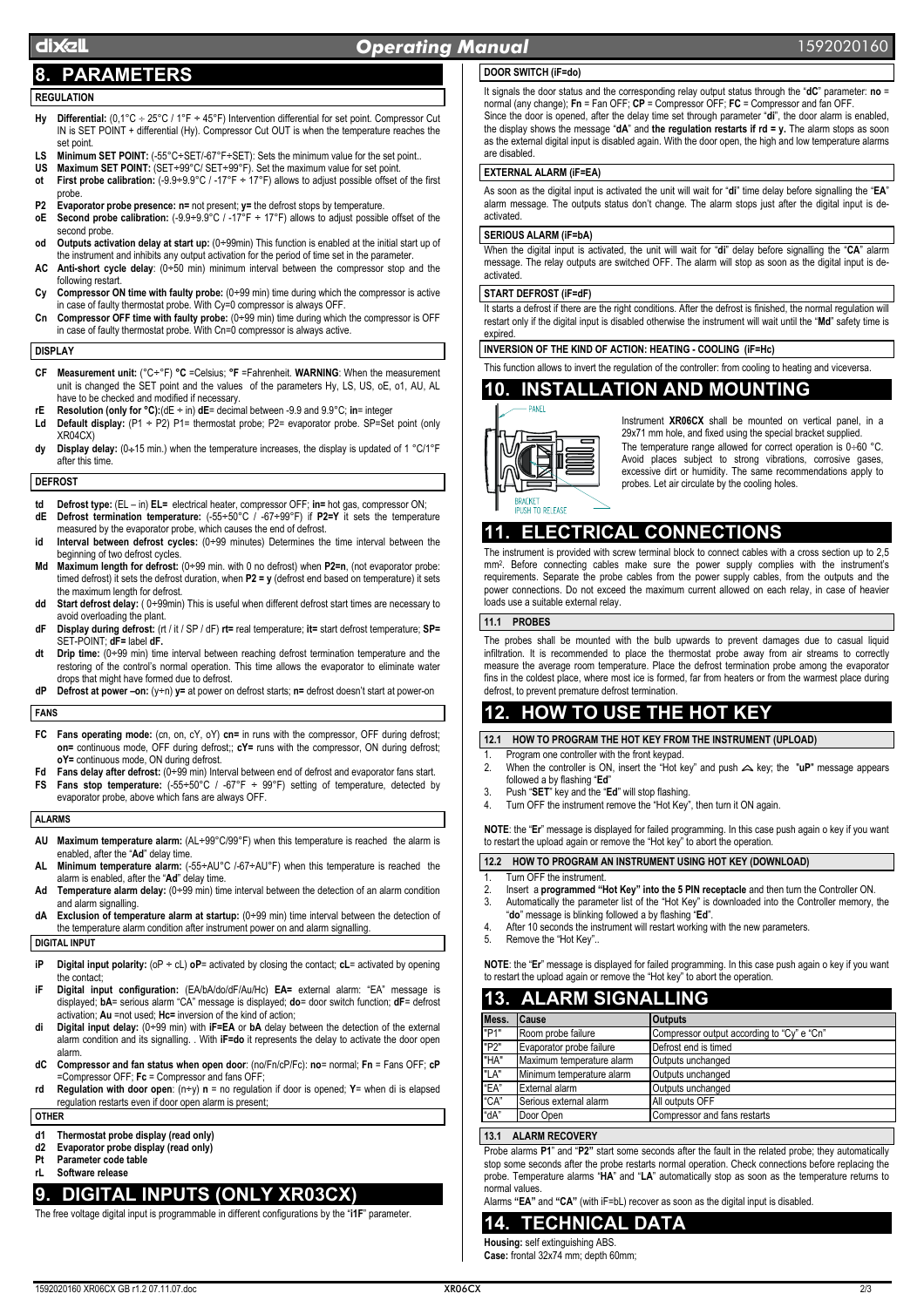# dix<sup>el</sup> dixel **Operating Manual** *Operating* Manual **1592020160**

# **8. PARAMETERS**

## **REGULATION**

- **Hy Differential:** (0,1°C ÷ 25°C / 1°F ÷ 45°F) Intervention differential for set point. Compressor Cut IN is SET POINT + differential (Hy). Compressor Cut OUT is when the temperature reaches the set point.
- LS Minimum SET POINT: (-55°C÷SET/-67°F÷SET): Sets the minimum value for the set point.
- **US Maximum SET POINT:** (SET÷99°C/ SET÷99°F). Set the maximum value for set point. **ot** First probe calibration:  $(-9.9 \div 9.9^{\circ}C / -17^{\circ}F \div (17^{\circ}F))$  allows to adjust possible offset of the first probe.
- **P2 Evaporator probe presence: n=** not present; **y=** the defrost stops by temperature.
- **oE Second probe calibration:** (-9.9÷9.9°C / -17°F ÷ 17°F) allows to adjust possible offset of the second probe.
- **od Outputs activation delay at start up:** (0÷99min) This function is enabled at the initial start up of the instrument and inhibits any output activation for the period of time set in the parameter.
- **AC Anti-short cycle delay**: (0÷50 min) minimum interval between the compressor stop and the following restart.
- **Cy Compressor ON time with faulty probe:** (0÷99 min) time during which the compressor is active in case of faulty thermostat probe. With Cy=0 compressor is always OFF.
- **Cn Compressor OFF time with faulty probe:** (0÷99 min) time during which the compressor is OFF in case of faulty thermostat probe. With Cn=0 compressor is always active.

#### **DISPLAY**

- **CF Measurement unit:** (°C÷°F) **°C** =Celsius; **°F** =Fahrenheit. **WARNING**: When the measurement unit is changed the SET point and the values of the parameters Hy, LS, US, oE, o1, AU, AL have to be checked and modified if necessary.
- **rE Resolution (only for °C):**(dE ÷ in) **dE**= decimal between -9.9 and 9.9°C; **in**= integer
- Ld Default display:  $(P1 \div P2)$  P1= thermostat probe; P2= evaporator probe. SP=Set point (only XR04CX)
- **dy Display delay:** (0÷15 min.) when the temperature increases, the display is updated of 1 °C/1°F after this time.

#### **DEFROST**

- **Defrost type:**  $(EL in) EL =$  electrical heater, compressor OFF;  $in =$  hot gas, compressor ON; **dE Defrost termination temperature:** (-55÷50°C / -67÷99°F) if **P2=Y** it sets the temperature
- measured by the evaporator probe, which causes the end of defrost. **id Interval between defrost cycles:** (0÷99 minutes) Determines the time interval between the beginning of two defrost cycles.
- **Md Maximum length for defrost:** (0÷99 min. with 0 no defrost) when **P2=n**, (not evaporator probe: timed defrost) it sets the defrost duration, when **P2 = y** (defrost end based on temperature) it sets the maximum length for defrost.
- **dd Start defrost delay:** ( 0÷99min) This is useful when different defrost start times are necessary to avoid overloading the plant.
- **dF Display during defrost:** (rt / it / SP / dF) **rt=** real temperature; **it=** start defrost temperature; **SP=** SET-POINT; **dF=** label **dF.**
- **dt Drip time:** (0÷99 min) time interval between reaching defrost termination temperature and the restoring of the control's normal operation. This time allows the evaporator to eliminate water drops that might have formed due to defrost.
- **dP Defrost at power –on:** (y÷n) **y=** at power on defrost starts; **n=** defrost doesn't start at power-on

#### **FANS**

- **FC Fans operating mode:** (cn, on, cY, oY) **cn=** in runs with the compressor, OFF during defrost; **on=** continuous mode, OFF during defrost;; **cY=** runs with the compressor, ON during defrost; **oY=** continuous mode, ON during defrost.
- **Fd Fans delay after defrost:** (0÷99 min) Interval between end of defrost and evaporator fans start. FS Fans stop temperature:  $(-55 \div 50^{\circ}C / -67^{\circ}F \div 99^{\circ}F)$  setting of temperature, detected by
- evaporator probe, above which fans are always OFF.

#### **ALARMS**

- **AU Maximum temperature alarm:** (AL÷99°C/99°F) when this temperature is reached the alarm is enabled, after the "**Ad**" delay time.
- **AL Minimum temperature alarm:** (-55÷AU°C /-67÷AU°F) when this temperature is reached the alarm is enabled, after the "**Ad**" delay time.
- **Ad Temperature alarm delay:** (0÷99 min) time interval between the detection of an alarm condition and alarm signalling.
- **dA Exclusion of temperature alarm at startup:** (0÷99 min) time interval between the detection of the temperature alarm condition after instrument power on and alarm signalling

### **DIGITAL INPUT**

- **iP Digital input polarity:** (oP ÷ cL) **oP**= activated by closing the contact; **cL**= activated by opening the contact;
- **iF Digital input configuration:** (EA/bA/do/dF/Au/Hc) **EA=** external alarm: "EA" message is displayed; **bA**= serious alarm "CA" message is displayed; **do**= door switch function; **dF**= defrost activation; **Au** =not used; **Hc=** inversion of the kind of action;
- **di Digital input delay:** (0÷99 min) with **iF=EA** or **bA** delay between the detection of the external alarm condition and its signalling. . With **iF=do** it represents the delay to activate the door open alarm.
- **dC Compressor and fan status when open door**: (no/Fn/cP/Fc): **no**= normal; **Fn** = Fans OFF; **cP** =Compressor OFF; **Fc** = Compressor and fans OFF;
- **rd Regulation with door open**: (n÷y) **n** = no regulation if door is opened; **Y**= when di is elapsed regulation restarts even if door open alarm is present;

#### **OTHER**

- **d1 Thermostat probe display (read only)**
- **d2 Evaporator probe display (read only)**
- **Pt Parameter code table rL Software release**

### **9. DIGITAL INPUTS (ONLY XR03CX)**

The free voltage digital input is programmable in different configurations by the "**i1F**" parameter.

### **DOOR SWITCH (iF=do)**

It signals the door status and the corresponding relay output status through the "**dC**" parameter: **no** = normal (any change); **Fn** = Fan OFF; **CP** = Compressor OFF; **FC** = Compressor and fan OFF. Since the door is opened, after the delay time set through parameter "**di**", the door alarm is enabled, the display shows the message "**dA**" and **the regulation restarts if rd = y.** The alarm stops as soon as the external digital input is disabled again. With the door open, the high and low temperature alarms are disabled.

#### **EXTERNAL ALARM (iF=EA)**

As soon as the digital input is activated the unit will wait for "**di**" time delay before signalling the "**EA**" alarm message. The outputs status don't change. The alarm stops just after the digital input is deactivated.

#### **SERIOUS ALARM (iF=bA)**

When the digital input is activated, the unit will wait for "**di**" delay before signalling the "**CA**" alarm message. The relay outputs are switched OFF. The alarm will stop as soon as the digital input is deactivated.

#### **START DEFROST (iF=dF)**

It starts a defrost if there are the right conditions. After the defrost is finished, the normal regulation will restart only if the digital input is disabled otherwise the instrument will wait until the "**Md**" safety time is expired.

**INVERSION OF THE KIND OF ACTION: HEATING - COOLING (iF=Hc)** 

This function allows to invert the regulation of the controller: from cooling to heating and viceversa.

# **10. INSTALLATION AND MOUNTING**



Instrument **XR06CX** shall be mounted on vertical panel, in a 29x71 mm hole, and fixed using the special bracket supplied. The temperature range allowed for correct operation is 0÷60 °C. Avoid places subject to strong vibrations, corrosive gases, excessive dirt or humidity. The same recommendations apply to probes. Let air circulate by the cooling holes.

# **11. ELECTRICAL CONNECTIONS**

The instrument is provided with screw terminal block to connect cables with a cross section up to 2,5 mm2. Before connecting cables make sure the power supply complies with the instrument's requirements. Separate the probe cables from the power supply cables, from the outputs and the power connections. Do not exceed the maximum current allowed on each relay, in case of heavier loads use a suitable external relay.

### **11.1 PROBES**

The probes shall be mounted with the bulb upwards to prevent damages due to casual liquid infiltration. It is recommended to place the thermostat probe away from air streams to correctly measure the average room temperature. Place the defrost termination probe among the evaporator fins in the coldest place, where most ice is formed, far from heaters or from the warmest place during defrost, to prevent premature defrost termination.

# **12. HOW TO USE THE HOT KEY**

#### **12.1 HOW TO PROGRAM THE HOT KEY FROM THE INSTRUMENT (UPLOAD)**

- Program one controller with the front keypad. 2. When the controller is ON, insert the "Hot key" and push  $\triangle$  key; the "uP" message appears
- followed a by flashing "**Ed**" 3. Push "**SET**" key and the "**Ed**" will stop flashing.
- 
- 4. Turn OFF the instrument remove the "Hot Key", then turn it ON again.

**NOTE**: the "**Er**" message is displayed for failed programming. In this case push again o key if you want to restart the upload again or remove the "Hot key" to abort the operation.

#### **12.2 HOW TO PROGRAM AN INSTRUMENT USING HOT KEY (DOWNLOAD)**

- 1. Turn OFF the instrument
- 2. Insert a **programmed "Hot Key" into the 5 PIN receptacle** and then turn the Controller ON.<br>3. Automatically the parameter list of the "Hot Key" is downloaded into the Controller memory Automatically the parameter list of the "Hot Key" is downloaded into the Controller memory, the "**do**" message is blinking followed a by flashing "**Ed**".
- 4. After 10 seconds the instrument will restart working with the new parameters.
- 5. Remove the "Hot Key"..

**NOTE**: the "**Er**" message is displayed for failed programming. In this case push again o key if you want to restart the upload again or remove the "Hot key" to abort the operation.

# **13. ALARM SIGNALLING**

| Mess. | Cause                     | <b>Outputs</b>                             |
|-------|---------------------------|--------------------------------------------|
| "P1"  | Room probe failure        | Compressor output according to "Cy" e "Cn" |
| "P2"  | Evaporator probe failure  | Defrost end is timed                       |
| "HA"  | Maximum temperature alarm | Outputs unchanged                          |
| "LA"  | Minimum temperature alarm | Outputs unchanged                          |
| "EA"  | External alarm            | Outputs unchanged                          |
| "CA"  | Serious external alarm    | All outputs OFF                            |
| "dA"  | Door Open                 | Compressor and fans restarts               |
|       |                           |                                            |

### **13.1 ALARM RECOVERY**

Probe alarms **P1**" and "**P2"** start some seconds after the fault in the related probe; they automatically stop some seconds after the probe restarts normal operation. Check connections before replacing the probe. Temperature alarms "**HA**" and "**LA**" automatically stop as soon as the temperature returns to normal values.

Alarms **"EA"** and **"CA"** (with iF=bL) recover as soon as the digital input is disabled.

### **14. TECHNICAL DATA**

**Housing:** self extinguishing ABS. **Case:** frontal 32x74 mm; depth 60mm;